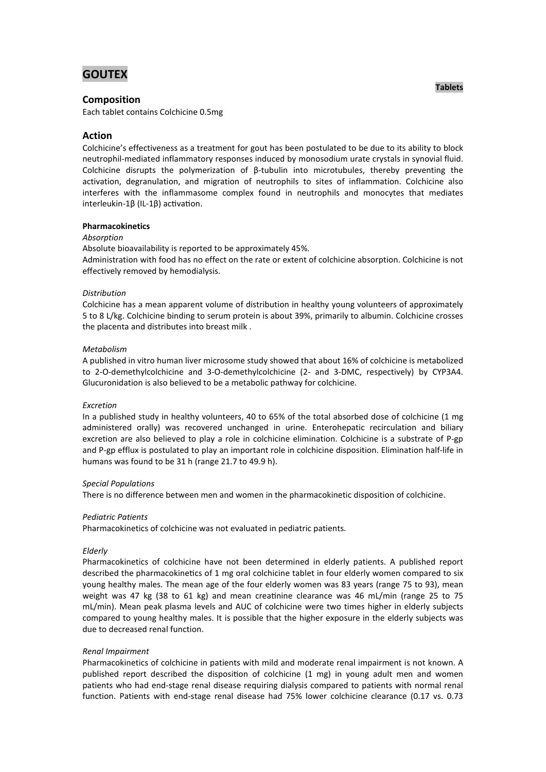# **GOUTEX**

## **Composition**

Each tablet contains Colchicine 0.5mg

## **Action**

Colchicine's effectiveness as a treatment for gout has been postulated to be due to its ability to block neutrophil-mediated inflammatory responses induced by monosodium urate crystals in synovial fluid. Colchicine disrupts the polymerization of β-tubulin into microtubules, thereby preventing the activation, degranulation, and migration of neutrophils to sites of inflammation. Colchicine also interferes with the inflammasome complex found in neutrophils and monocytes that mediates interleukin-1 $\beta$  (IL-1 $\beta$ ) activation.

## **Pharmacokinetics**

## *Absorption*

Absolute bioavailability is reported to be approximately 45%.

Administration with food has no effect on the rate or extent of colchicine absorption. Colchicine is not effectively removed by hemodialysis.

## *Distribution*

Colchicine has a mean apparent volume of distribution in healthy young volunteers of approximately 5 to 8 L/kg. Colchicine binding to serum protein is about 39%, primarily to albumin. Colchicine crosses the placenta and distributes into breast milk .

## *Metabolism*

A published in vitro human liver microsome study showed that about 16% of colchicine is metabolized to 2-O-demethylcolchicine and 3-O-demethylcolchicine (2- and 3-DMC, respectively) by CYP3A4. Glucuronidation is also believed to be a metabolic pathway for colchicine.

#### *Excretion*

In a published study in healthy volunteers, 40 to 65% of the total absorbed dose of colchicine (1 mg administered orally) was recovered unchanged in urine. Enterohepatic recirculation and biliary excretion are also believed to play a role in colchicine elimination. Colchicine is a substrate of P-gp and P-gp efflux is postulated to play an important role in colchicine disposition. Elimination half-life in humans was found to be 31 h (range 21.7 to 49.9 h).

#### *Special Populations*

There is no difference between men and women in the pharmacokinetic disposition of colchicine.

#### *Pediatric Patients*

Pharmacokinetics of colchicine was not evaluated in pediatric patients.

#### *Elderly*

Pharmacokinetics of colchicine have not been determined in elderly patients. A published report described the pharmacokinetics of 1 mg oral colchicine tablet in four elderly women compared to six young healthy males. The mean age of the four elderly women was 83 years (range 75 to 93), mean weight was 47 kg (38 to 61 kg) and mean creatinine clearance was 46 mL/min (range 25 to 75 mL/min). Mean peak plasma levels and AUC of colchicine were two times higher in elderly subjects compared to young healthy males. It is possible that the higher exposure in the elderly subjects was due to decreased renal function.

#### *Renal Impairment*

Pharmacokinetics of colchicine in patients with mild and moderate renal impairment is not known. A published report described the disposition of colchicine  $(1 \text{ mg})$  in young adult men and women patients who had end-stage renal disease requiring dialysis compared to patients with normal renal function. Patients with end-stage renal disease had 75% lower colchicine clearance (0.17 vs. 0.73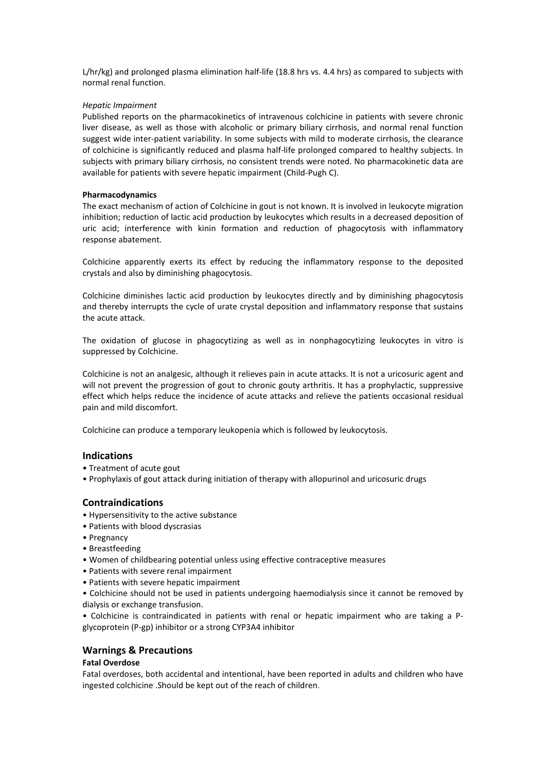L/hr/kg) and prolonged plasma elimination half-life (18.8 hrs vs. 4.4 hrs) as compared to subjects with normal renal function.

#### *Hepatic Impairment*

Published reports on the pharmacokinetics of intravenous colchicine in patients with severe chronic liver disease, as well as those with alcoholic or primary biliary cirrhosis, and normal renal function suggest wide inter-patient variability. In some subjects with mild to moderate cirrhosis, the clearance of colchicine is significantly reduced and plasma half-life prolonged compared to healthy subjects. In subjects with primary biliary cirrhosis, no consistent trends were noted. No pharmacokinetic data are available for patients with severe hepatic impairment (Child-Pugh C).

#### **Pharmacodynamics**

The exact mechanism of action of Colchicine in gout is not known. It is involved in leukocyte migration inhibition; reduction of lactic acid production by leukocytes which results in a decreased deposition of uric acid; interference with kinin formation and reduction of phagocytosis with inflammatory response abatement.

Colchicine apparently exerts its effect by reducing the inflammatory response to the deposited crystals and also by diminishing phagocytosis.

Colchicine diminishes lactic acid production by leukocytes directly and by diminishing phagocytosis and thereby interrupts the cycle of urate crystal deposition and inflammatory response that sustains the acute attack.

The oxidation of glucose in phagocytizing as well as in nonphagocytizing leukocytes in vitro is suppressed by Colchicine.

Colchicine is not an analgesic, although it relieves pain in acute attacks. It is not a uricosuric agent and will not prevent the progression of gout to chronic gouty arthritis. It has a prophylactic, suppressive effect which helps reduce the incidence of acute attacks and relieve the patients occasional residual pain and mild discomfort.

Colchicine can produce a temporary leukopenia which is followed by leukocytosis.

## **Indications**

- Treatment of acute gout
- Prophylaxis of gout attack during initiation of therapy with allopurinol and uricosuric drugs

#### **Contraindications**

- Hypersensitivity to the active substance
- Patients with blood dyscrasias
- Pregnancy
- Breastfeeding
- Women of childbearing potential unless using effective contraceptive measures
- Patients with severe renal impairment
- Patients with severe hepatic impairment
- Colchicine should not be used in patients undergoing haemodialysis since it cannot be removed by dialysis or exchange transfusion.

• Colchicine is contraindicated in patients with renal or hepatic impairment who are taking a Pglycoprotein (P-gp) inhibitor or a strong CYP3A4 inhibitor

## **Warnings & Precautions**

## **Fatal Overdose**

Fatal overdoses, both accidental and intentional, have been reported in adults and children who have ingested colchicine .Should be kept out of the reach of children.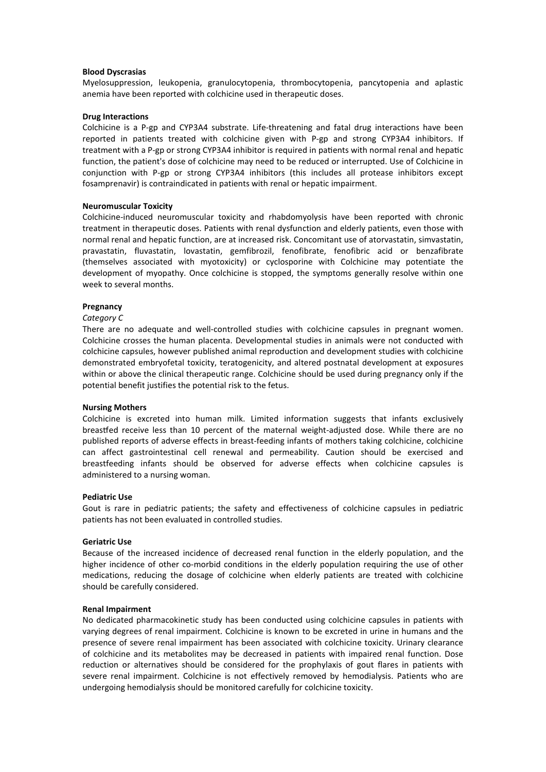#### **Blood Dyscrasias**

Myelosuppression, leukopenia, granulocytopenia, thrombocytopenia, pancytopenia and aplastic anemia have been reported with colchicine used in therapeutic doses.

#### **Drug Interactions**

Colchicine is a P-gp and CYP3A4 substrate. Life-threatening and fatal drug interactions have been reported in patients treated with colchicine given with P-gp and strong CYP3A4 inhibitors. If treatment with a P-gp or strong CYP3A4 inhibitor is required in patients with normal renal and hepatic function, the patient's dose of colchicine may need to be reduced or interrupted. Use of Colchicine in conjunction with P-gp or strong CYP3A4 inhibitors (this includes all protease inhibitors except fosamprenavir) is contraindicated in patients with renal or hepatic impairment.

#### **Neuromuscular Toxicity**

Colchicine-induced neuromuscular toxicity and rhabdomyolysis have been reported with chronic treatment in therapeutic doses. Patients with renal dysfunction and elderly patients, even those with normal renal and hepatic function, are at increased risk. Concomitant use of atorvastatin, simvastatin, pravastatin, fluvastatin, lovastatin, gemfibrozil, fenofibrate, fenofibric acid or benzafibrate (themselves associated with myotoxicity) or cyclosporine with Colchicine may potentiate the development of myopathy. Once colchicine is stopped, the symptoms generally resolve within one week to several months.

#### **Pregnancy**

#### *Category C*

There are no adequate and well-controlled studies with colchicine capsules in pregnant women. Colchicine crosses the human placenta. Developmental studies in animals were not conducted with colchicine capsules, however published animal reproduction and development studies with colchicine demonstrated embryofetal toxicity, teratogenicity, and altered postnatal development at exposures within or above the clinical therapeutic range. Colchicine should be used during pregnancy only if the potential benefit justifies the potential risk to the fetus.

#### **Nursing Mothers**

Colchicine is excreted into human milk. Limited information suggests that infants exclusively breastfed receive less than 10 percent of the maternal weight-adjusted dose. While there are no published reports of adverse effects in breast-feeding infants of mothers taking colchicine, colchicine can affect gastrointestinal cell renewal and permeability. Caution should be exercised and breastfeeding infants should be observed for adverse effects when colchicine capsules is administered to a nursing woman.

#### **Pediatric Use**

Gout is rare in pediatric patients; the safety and effectiveness of colchicine capsules in pediatric patients has not been evaluated in controlled studies.

#### **Geriatric Use**

Because of the increased incidence of decreased renal function in the elderly population, and the higher incidence of other co-morbid conditions in the elderly population requiring the use of other medications, reducing the dosage of colchicine when elderly patients are treated with colchicine should be carefully considered.

#### **Renal Impairment**

No dedicated pharmacokinetic study has been conducted using colchicine capsules in patients with varying degrees of renal impairment. Colchicine is known to be excreted in urine in humans and the presence of severe renal impairment has been associated with colchicine toxicity. Urinary clearance of colchicine and its metabolites may be decreased in patients with impaired renal function. Dose reduction or alternatives should be considered for the prophylaxis of gout flares in patients with severe renal impairment. Colchicine is not effectively removed by hemodialysis. Patients who are undergoing hemodialysis should be monitored carefully for colchicine toxicity.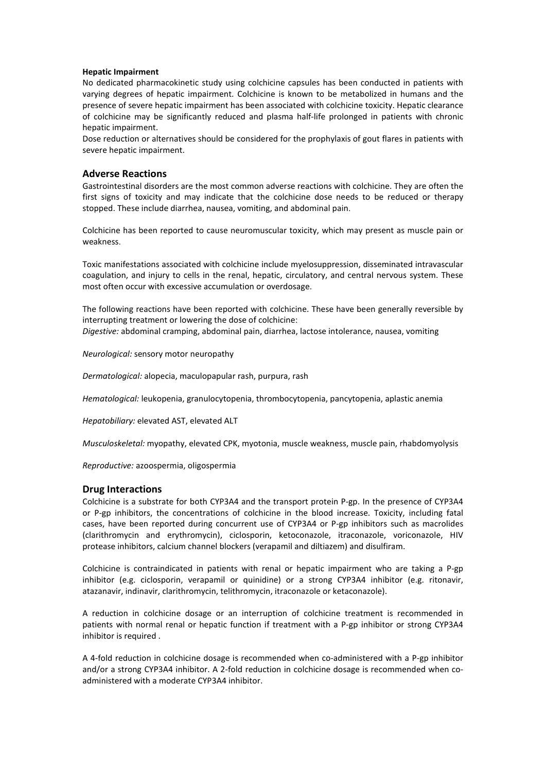## **Hepatic Impairment**

No dedicated pharmacokinetic study using colchicine capsules has been conducted in patients with varying degrees of hepatic impairment. Colchicine is known to be metabolized in humans and the presence of severe hepatic impairment has been associated with colchicine toxicity. Hepatic clearance of colchicine may be significantly reduced and plasma half-life prolonged in patients with chronic hepatic impairment.

Dose reduction or alternatives should be considered for the prophylaxis of gout flares in patients with severe hepatic impairment.

## **Adverse Reactions**

Gastrointestinal disorders are the most common adverse reactions with colchicine. They are often the first signs of toxicity and may indicate that the colchicine dose needs to be reduced or therapy stopped. These include diarrhea, nausea, vomiting, and abdominal pain.

Colchicine has been reported to cause neuromuscular toxicity, which may present as muscle pain or weakness.

Toxic manifestations associated with colchicine include myelosuppression, disseminated intravascular coagulation, and injury to cells in the renal, hepatic, circulatory, and central nervous system. These most often occur with excessive accumulation or overdosage.

The following reactions have been reported with colchicine. These have been generally reversible by interrupting treatment or lowering the dose of colchicine: *Digestive:* abdominal cramping, abdominal pain, diarrhea, lactose intolerance, nausea, vomiting

*Neurological:* sensory motor neuropathy

*Dermatological:* alopecia, maculopapular rash, purpura, rash

*Hematological:* leukopenia, granulocytopenia, thrombocytopenia, pancytopenia, aplastic anemia

*Hepatobiliary:* elevated AST, elevated ALT

*Musculoskeletal:* myopathy, elevated CPK, myotonia, muscle weakness, muscle pain, rhabdomyolysis

*Reproductive:* azoospermia, oligospermia

## **Drug Interactions**

Colchicine is a substrate for both CYP3A4 and the transport protein P-gp. In the presence of CYP3A4 or P-gp inhibitors, the concentrations of colchicine in the blood increase. Toxicity, including fatal cases, have been reported during concurrent use of CYP3A4 or P-gp inhibitors such as macrolides (clarithromycin and erythromycin), ciclosporin, ketoconazole, itraconazole, voriconazole, HIV protease inhibitors, calcium channel blockers (verapamil and diltiazem) and disulfiram.

Colchicine is contraindicated in patients with renal or hepatic impairment who are taking a P-gp inhibitor (e.g. ciclosporin, verapamil or quinidine) or a strong CYP3A4 inhibitor (e.g. ritonavir, atazanavir, indinavir, clarithromycin, telithromycin, itraconazole or ketaconazole).

A reduction in colchicine dosage or an interruption of colchicine treatment is recommended in patients with normal renal or hepatic function if treatment with a P-gp inhibitor or strong CYP3A4 inhibitor is required .

A 4-fold reduction in colchicine dosage is recommended when co-administered with a P-gp inhibitor and/or a strong CYP3A4 inhibitor. A 2-fold reduction in colchicine dosage is recommended when coadministered with a moderate CYP3A4 inhibitor.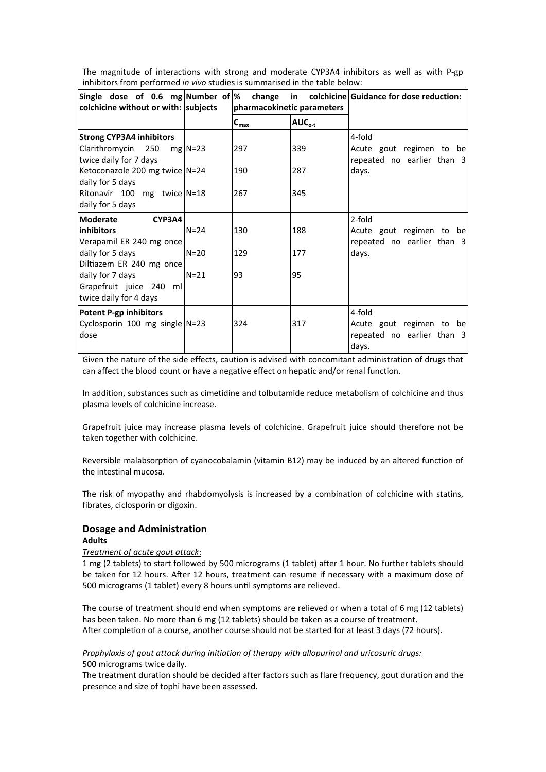| colchicine without or with: subjects                                            |           | pharmacokinetic parameters  |             | Single dose of 0.6 mg Number of $\%$ change in colchicine Guidance for dose reduction: |
|---------------------------------------------------------------------------------|-----------|-----------------------------|-------------|----------------------------------------------------------------------------------------|
|                                                                                 |           | $\mathsf{C}_{\mathsf{max}}$ | $AUC_{o-t}$ |                                                                                        |
| <b>Strong CYP3A4 inhibitors</b><br>Clarithromycin 250<br>twice daily for 7 days | $mg$ N=23 | 297                         | 339         | 4-fold<br>Acute gout regimen to be<br>repeated no earlier than 3                       |
| Ketoconazole 200 mg twice N=24<br>daily for 5 days                              |           | 190                         | 287         | days.                                                                                  |
| Ritonavir 100 mg twice N=18<br>daily for 5 days                                 |           | 267                         | 345         |                                                                                        |
| <b>Moderate</b><br>CYP3A4<br>linhibitors<br>Verapamil ER 240 mg once            | $N = 24$  | 130                         | 188         | 2-fold<br>Acute gout regimen to be<br>repeated no earlier than 3                       |
| daily for 5 days<br>Diltiazem ER 240 mg once                                    | $N=20$    | 129                         | 177         | days.                                                                                  |
| daily for 7 days<br>Grapefruit juice 240 ml<br>twice daily for 4 days           | $N = 21$  | 93                          | 95          |                                                                                        |
| Potent P-gp inhibitors<br>Cyclosporin 100 mg single N=23<br>dose                |           | 324                         | 317         | 4-fold<br>Acute gout regimen to be<br>repeated no earlier than 3<br>days.              |

The magnitude of interactions with strong and moderate CYP3A4 inhibitors as well as with P-gp inhibitors from performed *in vivo* studies is summarised in the table below:

Given the nature of the side effects, caution is advised with concomitant administration of drugs that can affect the blood count or have a negative effect on hepatic and/or renal function.

In addition, substances such as cimetidine and tolbutamide reduce metabolism of colchicine and thus plasma levels of colchicine increase.

Grapefruit juice may increase plasma levels of colchicine. Grapefruit juice should therefore not be taken together with colchicine.

Reversible malabsorption of cyanocobalamin (vitamin B12) may be induced by an altered function of the intestinal mucosa.

The risk of myopathy and rhabdomyolysis is increased by a combination of colchicine with statins, fibrates, ciclosporin or digoxin.

# **Dosage and Administration**

# **Adults**

## *Treatment of acute gout attack*:

1 mg (2 tablets) to start followed by 500 micrograms (1 tablet) after 1 hour. No further tablets should be taken for 12 hours. After 12 hours, treatment can resume if necessary with a maximum dose of 500 micrograms (1 tablet) every 8 hours until symptoms are relieved.

The course of treatment should end when symptoms are relieved or when a total of 6 mg (12 tablets) has been taken. No more than 6 mg (12 tablets) should be taken as a course of treatment. After completion of a course, another course should not be started for at least 3 days (72 hours).

## *Prophylaxis of gout attack during initiation of therapy with allopurinol and uricosuric drugs:* 500 micrograms twice daily.

The treatment duration should be decided after factors such as flare frequency, gout duration and the presence and size of tophi have been assessed.